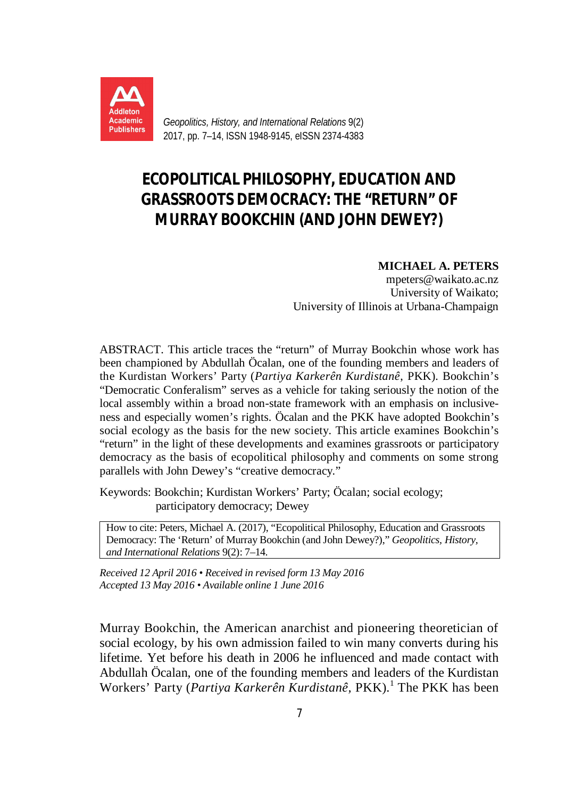

*Geopolitics, History, and International Relations* 9(2) 2017, pp. 7–14, ISSN 1948-9145, eISSN 2374-4383

## **ECOPOLITICAL PHILOSOPHY, EDUCATION AND GRASSROOTS DEMOCRACY: THE "RETURN" OF MURRAY BOOKCHIN (AND JOHN DEWEY?)**

## **MICHAEL A. PETERS**

mpeters@waikato.ac.nz University of Waikato; University of Illinois at Urbana-Champaign

ABSTRACT. This article traces the "return" of Murray Bookchin whose work has been championed by Abdullah Öcalan, one of the founding members and leaders of the Kurdistan Workers' Party (*Partiya Karkerên Kurdistanê*, PKK). Bookchin's "Democratic Conferalism" serves as a vehicle for taking seriously the notion of the local assembly within a broad non-state framework with an emphasis on inclusiveness and especially women's rights. Öcalan and the PKK have adopted Bookchin's social ecology as the basis for the new society. This article examines Bookchin's "return" in the light of these developments and examines grassroots or participatory democracy as the basis of ecopolitical philosophy and comments on some strong parallels with John Dewey's "creative democracy."

Keywords: Bookchin; Kurdistan Workers' Party; Öcalan; social ecology; participatory democracy; Dewey

How to cite: Peters, Michael A. (2017), "Ecopolitical Philosophy, Education and Grassroots Democracy: The 'Return' of Murray Bookchin (and John Dewey?)," *Geopolitics, History, and International Relations* 9(2): 7–14.

*Received 12 April 2016 • Received in revised form 13 May 2016 Accepted 13 May 2016 • Available online 1 June 2016*

Murray Bookchin, the American anarchist and pioneering theoretician of social ecology, by his own admission failed to win many converts during his lifetime. Yet before his death in 2006 he influenced and made contact with Abdullah Öcalan, one of the founding members and leaders of the Kurdistan Workers' Party (*Partiya Karkerên Kurdistanê*, PKK).<sup>1</sup> The PKK has been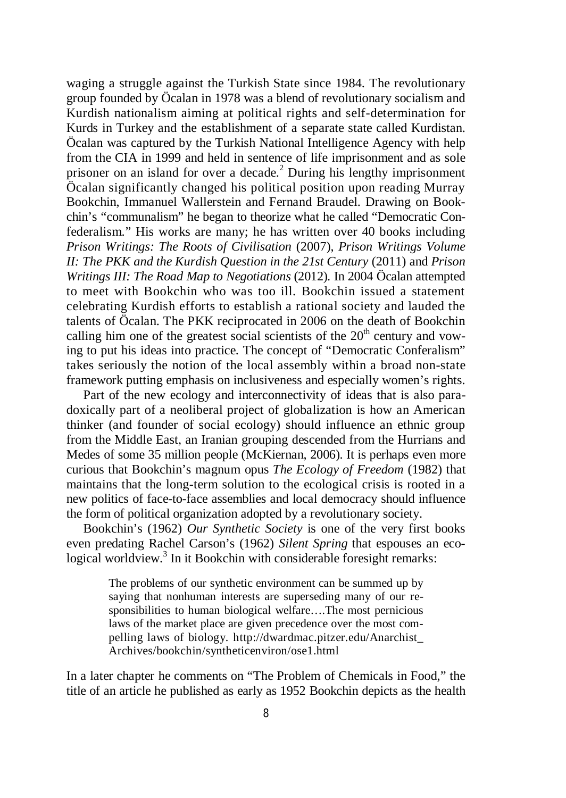waging a struggle against the Turkish State since 1984. The revolutionary group founded by Öcalan in 1978 was a blend of revolutionary socialism and Kurdish nationalism aiming at political rights and self-determination for Kurds in Turkey and the establishment of a separate state called Kurdistan. Öcalan was captured by the Turkish National Intelligence Agency with help from the CIA in 1999 and held in sentence of life imprisonment and as sole prisoner on an island for over a decade.<sup>2</sup> During his lengthy imprisonment Öcalan significantly changed his political position upon reading Murray Bookchin, Immanuel Wallerstein and Fernand Braudel. Drawing on Bookchin's "communalism" he began to theorize what he called "Democratic Confederalism." His works are many; he has written over 40 books including *Prison Writings: The Roots of Civilisation* (2007), *Prison Writings Volume II: The PKK and the Kurdish Question in the 21st Century* (2011) and *Prison Writings III: The Road Map to Negotiations* (2012). In 2004 Öcalan attempted to meet with Bookchin who was too ill. Bookchin issued a statement celebrating Kurdish efforts to establish a rational society and lauded the talents of Öcalan. The PKK reciprocated in 2006 on the death of Bookchin calling him one of the greatest social scientists of the  $20<sup>th</sup>$  century and vowing to put his ideas into practice. The concept of "Democratic Conferalism" takes seriously the notion of the local assembly within a broad non-state framework putting emphasis on inclusiveness and especially women's rights.

Part of the new ecology and interconnectivity of ideas that is also paradoxically part of a neoliberal project of globalization is how an American thinker (and founder of social ecology) should influence an ethnic group from the Middle East, an Iranian grouping descended from the Hurrians and Medes of some 35 million people (McKiernan, 2006). It is perhaps even more curious that Bookchin's magnum opus *The Ecology of Freedom* (1982) that maintains that the long-term solution to the ecological crisis is rooted in a new politics of face-to-face assemblies and local democracy should influence the form of political organization adopted by a revolutionary society.

Bookchin's (1962) *Our Synthetic Society* is one of the very first books even predating Rachel Carson's (1962) *Silent Spring* that espouses an ecological worldview.<sup>3</sup> In it Bookchin with considerable foresight remarks:

> The problems of our synthetic environment can be summed up by saying that nonhuman interests are superseding many of our responsibilities to human biological welfare….The most pernicious laws of the market place are given precedence over the most compelling laws of biology. http://dwardmac.pitzer.edu/Anarchist\_ Archives/bookchin/syntheticenviron/ose1.html

In a later chapter he comments on "The Problem of Chemicals in Food," the title of an article he published as early as 1952 Bookchin depicts as the health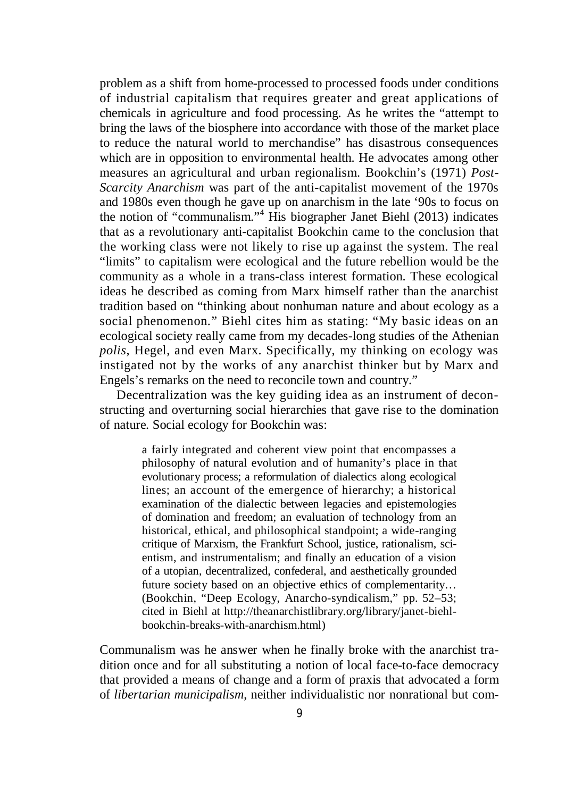problem as a shift from home-processed to processed foods under conditions of industrial capitalism that requires greater and great applications of chemicals in agriculture and food processing. As he writes the "attempt to bring the laws of the biosphere into accordance with those of the market place to reduce the natural world to merchandise" has disastrous consequences which are in opposition to environmental health. He advocates among other measures an agricultural and urban regionalism. Bookchin's (1971) *Post-Scarcity Anarchism* was part of the anti-capitalist movement of the 1970s and 1980s even though he gave up on anarchism in the late '90s to focus on the notion of "communalism."<sup>4</sup> His biographer Janet Biehl (2013) indicates that as a revolutionary anti-capitalist Bookchin came to the conclusion that the working class were not likely to rise up against the system. The real "limits" to capitalism were ecological and the future rebellion would be the community as a whole in a trans-class interest formation. These ecological ideas he described as coming from Marx himself rather than the anarchist tradition based on "thinking about nonhuman nature and about ecology as a social phenomenon." Biehl cites him as stating: "My basic ideas on an ecological society really came from my decades-long studies of the Athenian *polis*, Hegel, and even Marx. Specifically, my thinking on ecology was instigated not by the works of any anarchist thinker but by Marx and Engels's remarks on the need to reconcile town and country."

Decentralization was the key guiding idea as an instrument of deconstructing and overturning social hierarchies that gave rise to the domination of nature. Social ecology for Bookchin was:

> a fairly integrated and coherent view point that encompasses a philosophy of natural evolution and of humanity's place in that evolutionary process; a reformulation of dialectics along ecological lines; an account of the emergence of hierarchy; a historical examination of the dialectic between legacies and epistemologies of domination and freedom; an evaluation of technology from an historical, ethical, and philosophical standpoint; a wide-ranging critique of Marxism, the Frankfurt School, justice, rationalism, scientism, and instrumentalism; and finally an education of a vision of a utopian, decentralized, confederal, and aesthetically grounded future society based on an objective ethics of complementarity… (Bookchin, "Deep Ecology, Anarcho-syndicalism," pp. 52–53; cited in Biehl at http://theanarchistlibrary.org/library/janet-biehlbookchin-breaks-with-anarchism.html)

Communalism was he answer when he finally broke with the anarchist tradition once and for all substituting a notion of local face-to-face democracy that provided a means of change and a form of praxis that advocated a form of *libertarian municipalism*, neither individualistic nor nonrational but com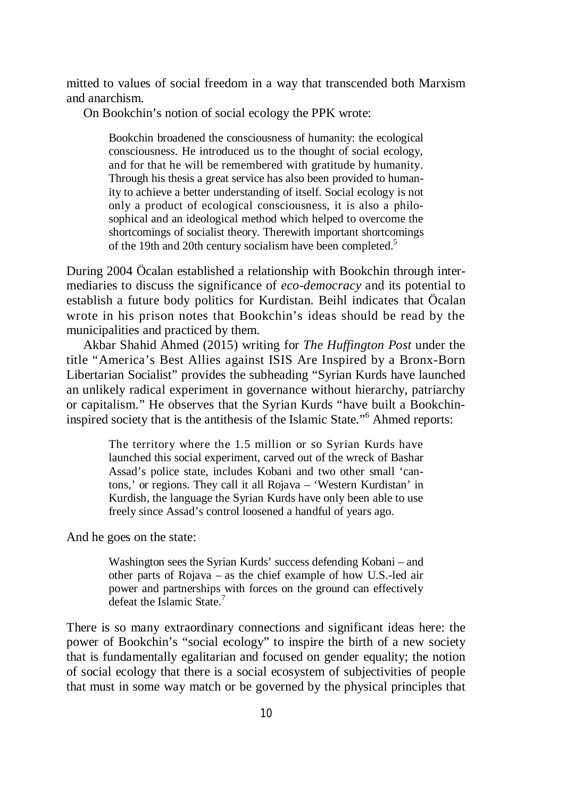mitted to values of social freedom in a way that transcended both Marxism and anarchism.

On Bookchin's notion of social ecology the PPK wrote:

Bookchin broadened the consciousness of humanity: the ecological consciousness. He introduced us to the thought of social ecology, and for that he will be remembered with gratitude by humanity. Through his thesis a great service has also been provided to humanity to achieve a better understanding of itself. Social ecology is not only a product of ecological consciousness, it is also a philosophical and an ideological method which helped to overcome the shortcomings of socialist theory. Therewith important shortcomings of the 19th and 20th century socialism have been completed.<sup>5</sup>

During 2004 Öcalan established a relationship with Bookchin through intermediaries to discuss the significance of *eco-democracy* and its potential to establish a future body politics for Kurdistan. Beihl indicates that Öcalan wrote in his prison notes that Bookchin's ideas should be read by the municipalities and practiced by them.

Akbar Shahid Ahmed (2015) writing for *The Huffington Post* under the title "America's Best Allies against ISIS Are Inspired by a Bronx-Born Libertarian Socialist" provides the subheading "Syrian Kurds have launched an unlikely radical experiment in governance without hierarchy, patriarchy or capitalism." He observes that the Syrian Kurds "have built a Bookchininspired society that is the antithesis of the Islamic State." 6 Ahmed reports:

> The territory where the 1.5 million or so Syrian Kurds have launched this social experiment, carved out of the wreck of Bashar Assad's police state, includes Kobani and two other small 'cantons,' or regions. They call it all Rojava – 'Western Kurdistan' in Kurdish, the language the Syrian Kurds have only been able to use freely since Assad's control loosened a handful of years ago.

And he goes on the state:

Washington sees the Syrian Kurds' success defending Kobani – and other parts of Rojava – as the chief example of how U.S.-led air power and partnerships with forces on the ground can effectively defeat the Islamic State.<sup>7</sup>

There is so many extraordinary connections and significant ideas here: the power of Bookchin's "social ecology" to inspire the birth of a new society that is fundamentally egalitarian and focused on gender equality; the notion of social ecology that there is a social ecosystem of subjectivities of people that must in some way match or be governed by the physical principles that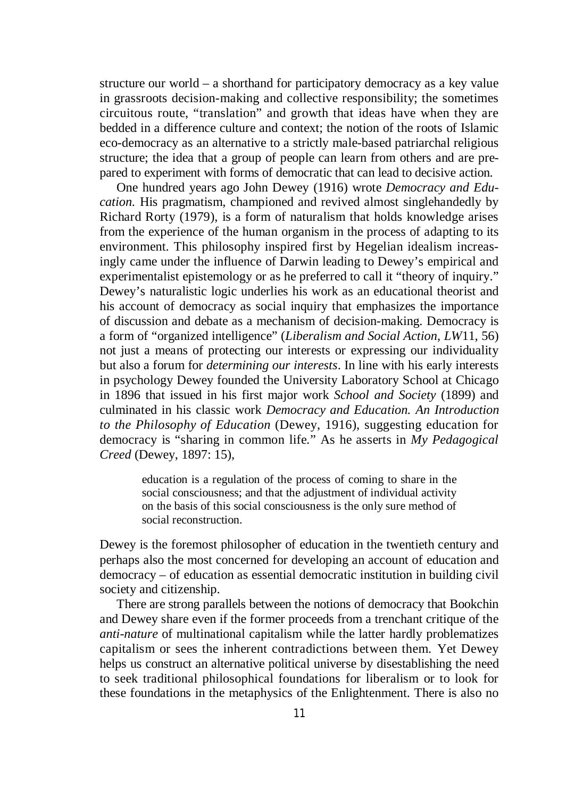structure our world – a shorthand for participatory democracy as a key value in grassroots decision-making and collective responsibility; the sometimes circuitous route, "translation" and growth that ideas have when they are bedded in a difference culture and context; the notion of the roots of Islamic eco-democracy as an alternative to a strictly male-based patriarchal religious structure; the idea that a group of people can learn from others and are prepared to experiment with forms of democratic that can lead to decisive action.

One hundred years ago John Dewey (1916) wrote *Democracy and Education.* His pragmatism, championed and revived almost singlehandedly by Richard Rorty (1979), is a form of naturalism that holds knowledge arises from the experience of the human organism in the process of adapting to its environment. This philosophy inspired first by Hegelian idealism increasingly came under the influence of Darwin leading to Dewey's empirical and experimentalist epistemology or as he preferred to call it "theory of inquiry." Dewey's naturalistic logic underlies his work as an educational theorist and his account of democracy as social inquiry that emphasizes the importance of discussion and debate as a mechanism of decision-making. Democracy is a form of "organized intelligence" (*Liberalism and Social Action*, *LW*11, 56) not just a means of protecting our interests or expressing our individuality but also a forum for *determining our interests*. In line with his early interests in psychology Dewey founded the University Laboratory School at Chicago in 1896 that issued in his first major work *School and Society* (1899) and culminated in his classic work *Democracy and Education. An Introduction to the Philosophy of Education* (Dewey, 1916), suggesting education for democracy is "sharing in common life." As he asserts in *My Pedagogical Creed* (Dewey, 1897: 15),

> education is a regulation of the process of coming to share in the social consciousness; and that the adjustment of individual activity on the basis of this social consciousness is the only sure method of social reconstruction.

Dewey is the foremost philosopher of education in the twentieth century and perhaps also the most concerned for developing an account of education and democracy – of education as essential democratic institution in building civil society and citizenship.

There are strong parallels between the notions of democracy that Bookchin and Dewey share even if the former proceeds from a trenchant critique of the *anti-nature* of multinational capitalism while the latter hardly problematizes capitalism or sees the inherent contradictions between them. Yet Dewey helps us construct an alternative political universe by disestablishing the need to seek traditional philosophical foundations for liberalism or to look for these foundations in the metaphysics of the Enlightenment. There is also no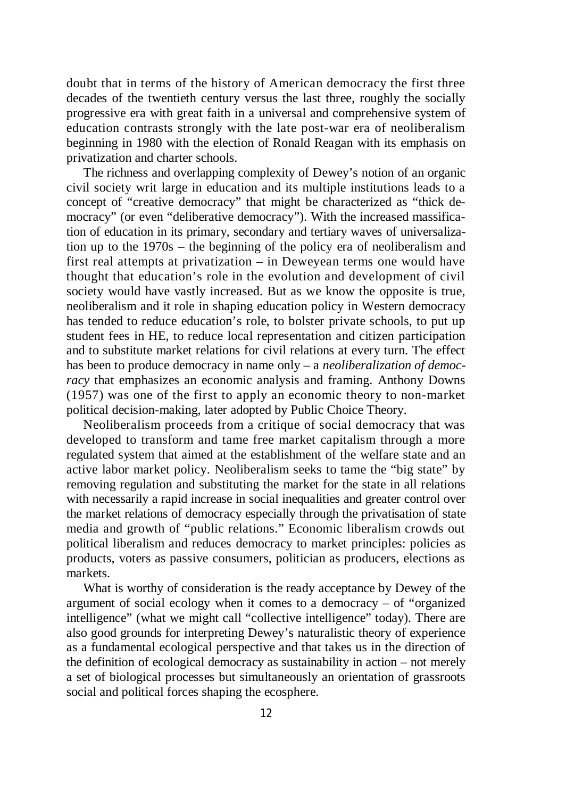doubt that in terms of the history of American democracy the first three decades of the twentieth century versus the last three, roughly the socially progressive era with great faith in a universal and comprehensive system of education contrasts strongly with the late post-war era of neoliberalism beginning in 1980 with the election of Ronald Reagan with its emphasis on privatization and charter schools.

The richness and overlapping complexity of Dewey's notion of an organic civil society writ large in education and its multiple institutions leads to a concept of "creative democracy" that might be characterized as "thick democracy" (or even "deliberative democracy"). With the increased massification of education in its primary, secondary and tertiary waves of universalization up to the 1970s – the beginning of the policy era of neoliberalism and first real attempts at privatization – in Deweyean terms one would have thought that education's role in the evolution and development of civil society would have vastly increased. But as we know the opposite is true, neoliberalism and it role in shaping education policy in Western democracy has tended to reduce education's role, to bolster private schools, to put up student fees in HE, to reduce local representation and citizen participation and to substitute market relations for civil relations at every turn. The effect has been to produce democracy in name only – a *neoliberalization of democracy* that emphasizes an economic analysis and framing. Anthony Downs (1957) was one of the first to apply an economic theory to non-market political decision-making, later adopted by Public Choice Theory.

Neoliberalism proceeds from a critique of social democracy that was developed to transform and tame free market capitalism through a more regulated system that aimed at the establishment of the welfare state and an active labor market policy. Neoliberalism seeks to tame the "big state" by removing regulation and substituting the market for the state in all relations with necessarily a rapid increase in social inequalities and greater control over the market relations of democracy especially through the privatisation of state media and growth of "public relations." Economic liberalism crowds out political liberalism and reduces democracy to market principles: policies as products, voters as passive consumers, politician as producers, elections as markets.

What is worthy of consideration is the ready acceptance by Dewey of the argument of social ecology when it comes to a democracy – of "organized intelligence" (what we might call "collective intelligence" today). There are also good grounds for interpreting Dewey's naturalistic theory of experience as a fundamental ecological perspective and that takes us in the direction of the definition of ecological democracy as sustainability in action – not merely a set of biological processes but simultaneously an orientation of grassroots social and political forces shaping the ecosphere.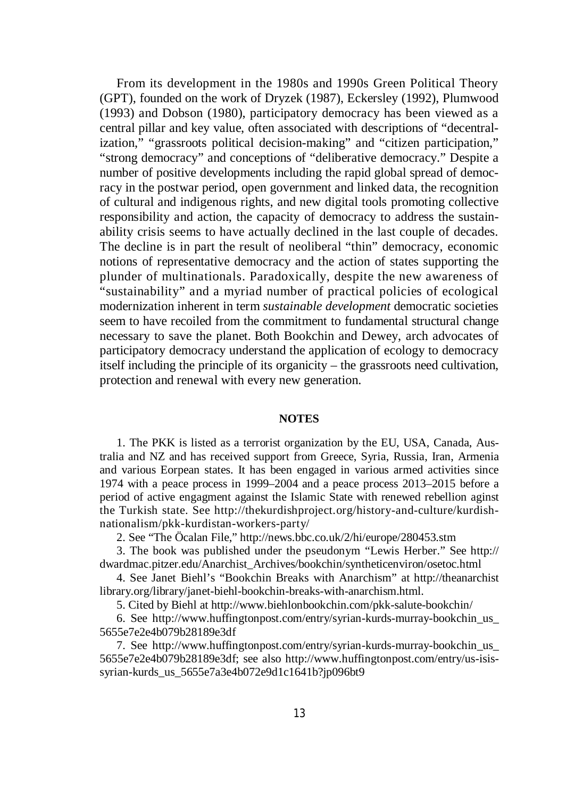From its development in the 1980s and 1990s Green Political Theory (GPT), founded on the work of Dryzek (1987), Eckersley (1992), Plumwood (1993) and Dobson (1980), participatory democracy has been viewed as a central pillar and key value, often associated with descriptions of "decentralization," "grassroots political decision-making" and "citizen participation," "strong democracy" and conceptions of "deliberative democracy." Despite a number of positive developments including the rapid global spread of democracy in the postwar period, open government and linked data, the recognition of cultural and indigenous rights, and new digital tools promoting collective responsibility and action, the capacity of democracy to address the sustainability crisis seems to have actually declined in the last couple of decades. The decline is in part the result of neoliberal "thin" democracy, economic notions of representative democracy and the action of states supporting the plunder of multinationals. Paradoxically, despite the new awareness of "sustainability" and a myriad number of practical policies of ecological modernization inherent in term *sustainable development* democratic societies seem to have recoiled from the commitment to fundamental structural change necessary to save the planet. Both Bookchin and Dewey, arch advocates of participatory democracy understand the application of ecology to democracy itself including the principle of its organicity – the grassroots need cultivation, protection and renewal with every new generation.

## **NOTES**

1. The PKK is listed as a terrorist organization by the EU, USA, Canada, Australia and NZ and has received support from Greece, Syria, Russia, Iran, Armenia and various Eorpean states. It has been engaged in various armed activities since 1974 with a peace process in 1999–2004 and a peace process 2013–2015 before a period of active engagment against the Islamic State with renewed rebellion aginst the Turkish state. See http://thekurdishproject.org/history-and-culture/kurdishnationalism/pkk-kurdistan-workers-party/

2. See "The Öcalan File," http://news.bbc.co.uk/2/hi/europe/280453.stm

3. The book was published under the pseudonym "Lewis Herber." See http:// dwardmac.pitzer.edu/Anarchist\_Archives/bookchin/syntheticenviron/osetoc.html

4. See Janet Biehl's "Bookchin Breaks with Anarchism" at http://theanarchist library.org/library/janet-biehl-bookchin-breaks-with-anarchism.html.

5. Cited by Biehl at http://www.biehlonbookchin.com/pkk-salute-bookchin/

6. See http://www.huffingtonpost.com/entry/syrian-kurds-murray-bookchin\_us\_ 5655e7e2e4b079b28189e3df

7. See http://www.huffingtonpost.com/entry/syrian-kurds-murray-bookchin\_us\_ 5655e7e2e4b079b28189e3df; see also http://www.huffingtonpost.com/entry/us-isissyrian-kurds\_us\_5655e7a3e4b072e9d1c1641b?jp096bt9